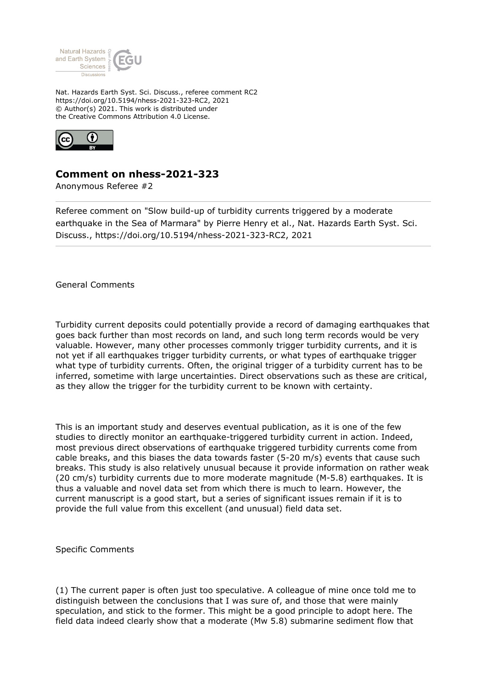

Nat. Hazards Earth Syst. Sci. Discuss., referee comment RC2 https://doi.org/10.5194/nhess-2021-323-RC2, 2021 © Author(s) 2021. This work is distributed under the Creative Commons Attribution 4.0 License.



## **Comment on nhess-2021-323**

Anonymous Referee #2

Referee comment on "Slow build-up of turbidity currents triggered by a moderate earthquake in the Sea of Marmara" by Pierre Henry et al., Nat. Hazards Earth Syst. Sci. Discuss., https://doi.org/10.5194/nhess-2021-323-RC2, 2021

General Comments

Turbidity current deposits could potentially provide a record of damaging earthquakes that goes back further than most records on land, and such long term records would be very valuable. However, many other processes commonly trigger turbidity currents, and it is not yet if all earthquakes trigger turbidity currents, or what types of earthquake trigger what type of turbidity currents. Often, the original trigger of a turbidity current has to be inferred, sometime with large uncertainties. Direct observations such as these are critical, as they allow the trigger for the turbidity current to be known with certainty.

This is an important study and deserves eventual publication, as it is one of the few studies to directly monitor an earthquake-triggered turbidity current in action. Indeed, most previous direct observations of earthquake triggered turbidity currents come from cable breaks, and this biases the data towards faster (5-20 m/s) events that cause such breaks. This study is also relatively unusual because it provide information on rather weak (20 cm/s) turbidity currents due to more moderate magnitude (M-5.8) earthquakes. It is thus a valuable and novel data set from which there is much to learn. However, the current manuscript is a good start, but a series of significant issues remain if it is to provide the full value from this excellent (and unusual) field data set.

Specific Comments

(1) The current paper is often just too speculative. A colleague of mine once told me to distinguish between the conclusions that I was sure of, and those that were mainly speculation, and stick to the former. This might be a good principle to adopt here. The field data indeed clearly show that a moderate (Mw 5.8) submarine sediment flow that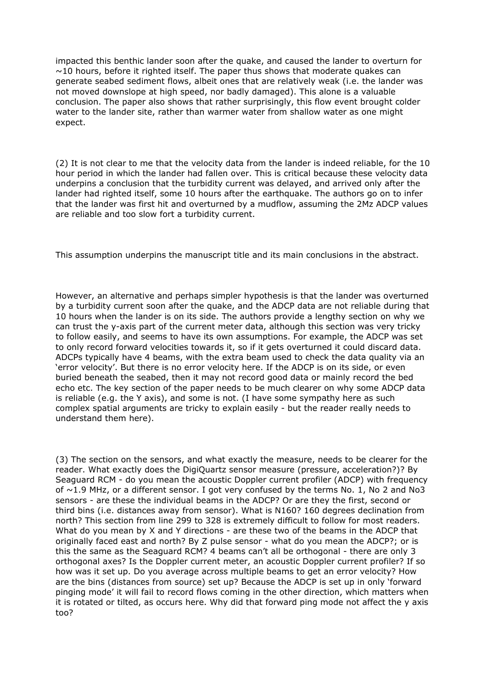impacted this benthic lander soon after the quake, and caused the lander to overturn for  $\sim$ 10 hours, before it righted itself. The paper thus shows that moderate quakes can generate seabed sediment flows, albeit ones that are relatively weak (i.e. the lander was not moved downslope at high speed, nor badly damaged). This alone is a valuable conclusion. The paper also shows that rather surprisingly, this flow event brought colder water to the lander site, rather than warmer water from shallow water as one might expect.

(2) It is not clear to me that the velocity data from the lander is indeed reliable, for the 10 hour period in which the lander had fallen over. This is critical because these velocity data underpins a conclusion that the turbidity current was delayed, and arrived only after the lander had righted itself, some 10 hours after the earthquake. The authors go on to infer that the lander was first hit and overturned by a mudflow, assuming the 2Mz ADCP values are reliable and too slow fort a turbidity current.

This assumption underpins the manuscript title and its main conclusions in the abstract.

However, an alternative and perhaps simpler hypothesis is that the lander was overturned by a turbidity current soon after the quake, and the ADCP data are not reliable during that 10 hours when the lander is on its side. The authors provide a lengthy section on why we can trust the y-axis part of the current meter data, although this section was very tricky to follow easily, and seems to have its own assumptions. For example, the ADCP was set to only record forward velocities towards it, so if it gets overturned it could discard data. ADCPs typically have 4 beams, with the extra beam used to check the data quality via an 'error velocity'. But there is no error velocity here. If the ADCP is on its side, or even buried beneath the seabed, then it may not record good data or mainly record the bed echo etc. The key section of the paper needs to be much clearer on why some ADCP data is reliable (e.g. the Y axis), and some is not. (I have some sympathy here as such complex spatial arguments are tricky to explain easily - but the reader really needs to understand them here).

(3) The section on the sensors, and what exactly the measure, needs to be clearer for the reader. What exactly does the DigiQuartz sensor measure (pressure, acceleration?)? By Seaguard RCM - do you mean the acoustic Doppler current profiler (ADCP) with frequency of  $\sim$ 1.9 MHz, or a different sensor. I got very confused by the terms No. 1, No 2 and No3 sensors - are these the individual beams in the ADCP? Or are they the first, second or third bins (i.e. distances away from sensor). What is N160? 160 degrees declination from north? This section from line 299 to 328 is extremely difficult to follow for most readers. What do you mean by X and Y directions - are these two of the beams in the ADCP that originally faced east and north? By Z pulse sensor - what do you mean the ADCP?; or is this the same as the Seaguard RCM? 4 beams can't all be orthogonal - there are only 3 orthogonal axes? Is the Doppler current meter, an acoustic Doppler current profiler? If so how was it set up. Do you average across multiple beams to get an error velocity? How are the bins (distances from source) set up? Because the ADCP is set up in only 'forward pinging mode' it will fail to record flows coming in the other direction, which matters when it is rotated or tilted, as occurs here. Why did that forward ping mode not affect the y axis too?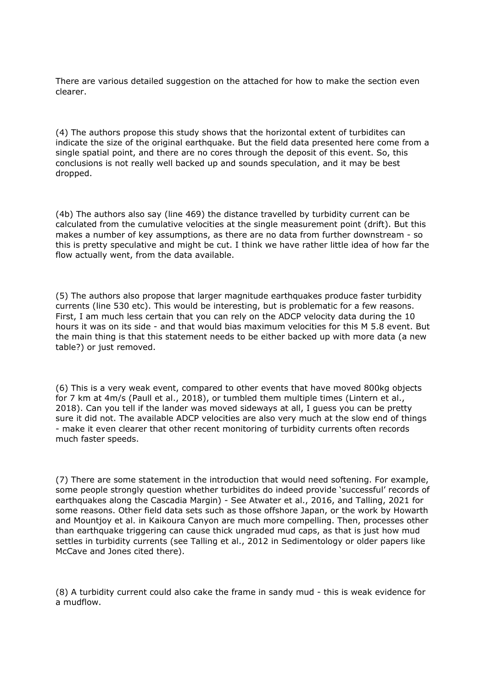There are various detailed suggestion on the attached for how to make the section even clearer.

(4) The authors propose this study shows that the horizontal extent of turbidites can indicate the size of the original earthquake. But the field data presented here come from a single spatial point, and there are no cores through the deposit of this event. So, this conclusions is not really well backed up and sounds speculation, and it may be best dropped.

(4b) The authors also say (line 469) the distance travelled by turbidity current can be calculated from the cumulative velocities at the single measurement point (drift). But this makes a number of key assumptions, as there are no data from further downstream - so this is pretty speculative and might be cut. I think we have rather little idea of how far the flow actually went, from the data available.

(5) The authors also propose that larger magnitude earthquakes produce faster turbidity currents (line 530 etc). This would be interesting, but is problematic for a few reasons. First, I am much less certain that you can rely on the ADCP velocity data during the 10 hours it was on its side - and that would bias maximum velocities for this M 5.8 event. But the main thing is that this statement needs to be either backed up with more data (a new table?) or just removed.

(6) This is a very weak event, compared to other events that have moved 800kg objects for 7 km at 4m/s (Paull et al., 2018), or tumbled them multiple times (Lintern et al., 2018). Can you tell if the lander was moved sideways at all, I guess you can be pretty sure it did not. The available ADCP velocities are also very much at the slow end of things - make it even clearer that other recent monitoring of turbidity currents often records much faster speeds.

(7) There are some statement in the introduction that would need softening. For example, some people strongly question whether turbidites do indeed provide 'successful' records of earthquakes along the Cascadia Margin) - See Atwater et al., 2016, and Talling, 2021 for some reasons. Other field data sets such as those offshore Japan, or the work by Howarth and Mountjoy et al. in Kaikoura Canyon are much more compelling. Then, processes other than earthquake triggering can cause thick ungraded mud caps, as that is just how mud settles in turbidity currents (see Talling et al., 2012 in Sedimentology or older papers like McCave and Jones cited there).

(8) A turbidity current could also cake the frame in sandy mud - this is weak evidence for a mudflow.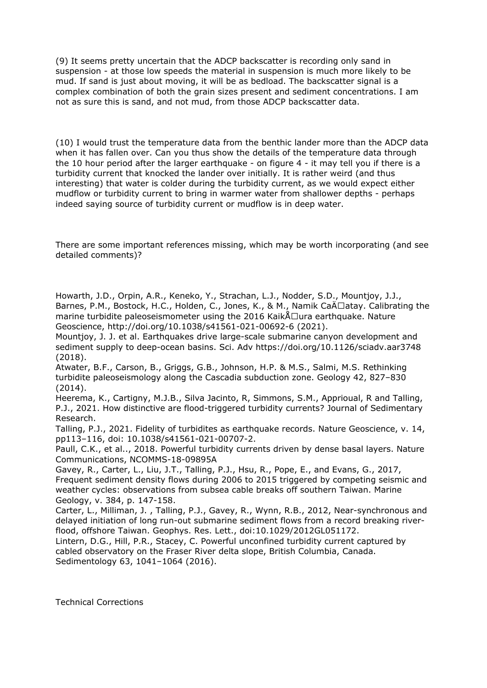(9) It seems pretty uncertain that the ADCP backscatter is recording only sand in suspension - at those low speeds the material in suspension is much more likely to be mud. If sand is just about moving, it will be as bedload. The backscatter signal is a complex combination of both the grain sizes present and sediment concentrations. I am not as sure this is sand, and not mud, from those ADCP backscatter data.

(10) I would trust the temperature data from the benthic lander more than the ADCP data when it has fallen over. Can you thus show the details of the temperature data through the 10 hour period after the larger earthquake - on figure 4 - it may tell you if there is a turbidity current that knocked the lander over initially. It is rather weird (and thus interesting) that water is colder during the turbidity current, as we would expect either mudflow or turbidity current to bring in warmer water from shallower depths - perhaps indeed saying source of turbidity current or mudflow is in deep water.

There are some important references missing, which may be worth incorporating (and see detailed comments)?

Howarth, J.D., Orpin, A.R., Keneko, Y., Strachan, L.J., Nodder, S.D., Mountjoy, J.J., Barnes, P.M., Bostock, H.C., Holden, C., Jones, K., & M., Namik CaÄ□atay. Calibrating the marine turbidite paleoseismometer using the 2016 Kaik $\text{A}$ Uura earthquake. Nature Geoscience, http://doi.org/10.1038/s41561-021-00692-6 (2021).

Mountjoy, J. J. et al. Earthquakes drive large-scale submarine canyon development and sediment supply to deep-ocean basins. Sci. Adv https://doi.org/10.1126/sciadv.aar3748 (2018).

Atwater, B.F., Carson, B., Griggs, G.B., Johnson, H.P. & M.S., Salmi, M.S. Rethinking turbidite paleoseismology along the Cascadia subduction zone. Geology 42, 827–830 (2014).

Heerema, K., Cartigny, M.J.B., Silva Jacinto, R, Simmons, S.M., Apprioual, R and Talling, P.J., 2021. How distinctive are flood-triggered turbidity currents? Journal of Sedimentary Research.

Talling, P.J., 2021. Fidelity of turbidites as earthquake records. Nature Geoscience, v. 14, pp113–116, doi: 10.1038/s41561-021-00707-2.

Paull, C.K., et al.., 2018. Powerful turbidity currents driven by dense basal layers. Nature Communications, NCOMMS-18-09895A

Gavey, R., Carter, L., Liu, J.T., Talling, P.J., Hsu, R., Pope, E., and Evans, G., 2017, Frequent sediment density flows during 2006 to 2015 triggered by competing seismic and weather cycles: observations from subsea cable breaks off southern Taiwan. Marine Geology, v. 384, p. 147-158.

Carter, L., Milliman, J. , Talling, P.J., Gavey, R., Wynn, R.B., 2012, Near-synchronous and delayed initiation of long run-out submarine sediment flows from a record breaking riverflood, offshore Taiwan. Geophys. Res. Lett., doi:10.1029/2012GL051172.

Lintern, D.G., Hill, P.R., Stacey, C. Powerful unconfined turbidity current captured by cabled observatory on the Fraser River delta slope, British Columbia, Canada. Sedimentology 63, 1041–1064 (2016).

Technical Corrections